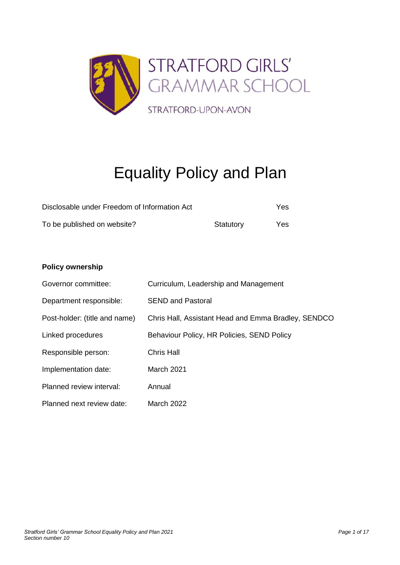

# Equality Policy and Plan

| Disclosable under Freedom of Information Act |           |     |  |
|----------------------------------------------|-----------|-----|--|
| To be published on website?                  | Statutory | Yes |  |

#### **Policy ownership**

| Governor committee:           | Curriculum, Leadership and Management               |
|-------------------------------|-----------------------------------------------------|
| Department responsible:       | <b>SEND and Pastoral</b>                            |
| Post-holder: (title and name) | Chris Hall, Assistant Head and Emma Bradley, SENDCO |
| Linked procedures             | Behaviour Policy, HR Policies, SEND Policy          |
| Responsible person:           | <b>Chris Hall</b>                                   |
| Implementation date:          | <b>March 2021</b>                                   |
| Planned review interval:      | Annual                                              |
| Planned next review date:     | <b>March 2022</b>                                   |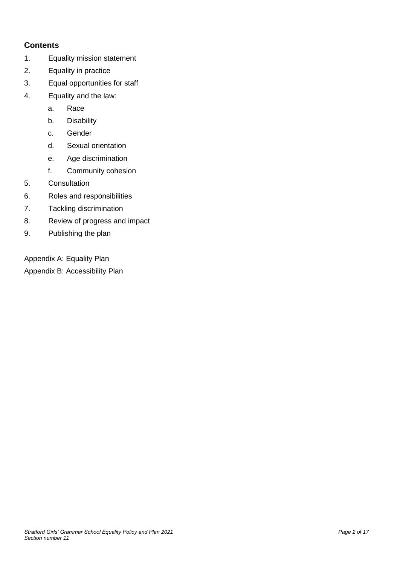# **Contents**

- 1. Equality mission statement
- 2. Equality in practice
- 3. Equal opportunities for staff
- 4. Equality and the law:
	- a. Race
	- b. Disability
	- c. Gender
	- d. Sexual orientation
	- e. Age discrimination
	- f. Community cohesion
- 5. Consultation
- 6. Roles and responsibilities
- 7. Tackling discrimination
- 8. Review of progress and impact
- 9. Publishing the plan

Appendix A: Equality Plan

Appendix B: Accessibility Plan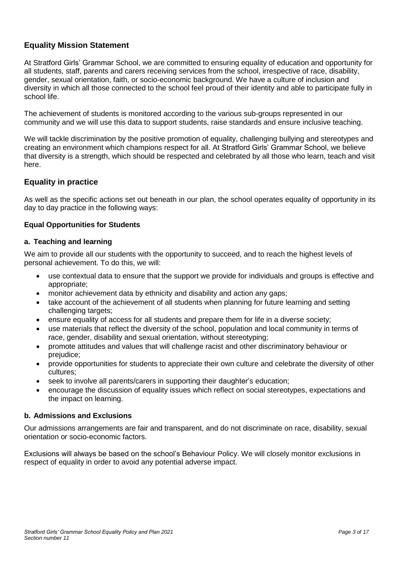## **Equality Mission Statement**

At Stratford Girls' Grammar School, we are committed to ensuring equality of education and opportunity for all students, staff, parents and carers receiving services from the school, irrespective of race, disability, gender, sexual orientation, faith, or socio-economic background. We have a culture of inclusion and diversity in which all those connected to the school feel proud of their identity and able to participate fully in school life.

The achievement of students is monitored according to the various sub-groups represented in our community and we will use this data to support students, raise standards and ensure inclusive teaching.

We will tackle discrimination by the positive promotion of equality, challenging bullying and stereotypes and creating an environment which champions respect for all. At Stratford Girls' Grammar School, we believe that diversity is a strength, which should be respected and celebrated by all those who learn, teach and visit here.

#### **Equality in practice**

As well as the specific actions set out beneath in our plan, the school operates equality of opportunity in its day to day practice in the following ways:

#### **Equal Opportunities for Students**

#### **a. Teaching and learning**

We aim to provide all our students with the opportunity to succeed, and to reach the highest levels of personal achievement. To do this, we will:

- use contextual data to ensure that the support we provide for individuals and groups is effective and appropriate;
- monitor achievement data by ethnicity and disability and action any gaps;
- take account of the achievement of all students when planning for future learning and setting challenging targets;
- ensure equality of access for all students and prepare them for life in a diverse society;
- use materials that reflect the diversity of the school, population and local community in terms of race, gender, disability and sexual orientation, without stereotyping;
- promote attitudes and values that will challenge racist and other discriminatory behaviour or prejudice;
- provide opportunities for students to appreciate their own culture and celebrate the diversity of other cultures;
- seek to involve all parents/carers in supporting their daughter's education;
- encourage the discussion of equality issues which reflect on social stereotypes, expectations and the impact on learning.

#### **b. Admissions and Exclusions**

Our admissions arrangements are fair and transparent, and do not discriminate on race, disability, sexual orientation or socio-economic factors.

Exclusions will always be based on the school's Behaviour Policy. We will closely monitor exclusions in respect of equality in order to avoid any potential adverse impact.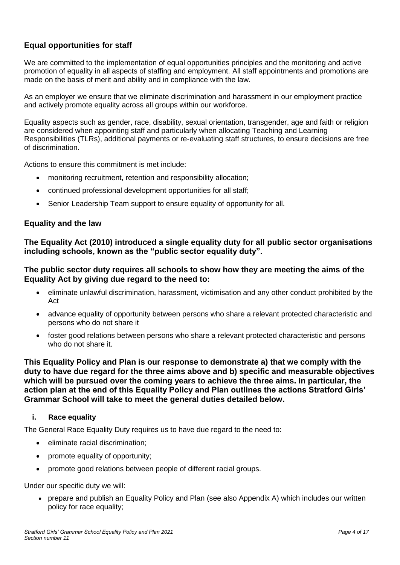## **Equal opportunities for staff**

We are committed to the implementation of equal opportunities principles and the monitoring and active promotion of equality in all aspects of staffing and employment. All staff appointments and promotions are made on the basis of merit and ability and in compliance with the law.

As an employer we ensure that we eliminate discrimination and harassment in our employment practice and actively promote equality across all groups within our workforce.

Equality aspects such as gender, race, disability, sexual orientation, transgender, age and faith or religion are considered when appointing staff and particularly when allocating Teaching and Learning Responsibilities (TLRs), additional payments or re-evaluating staff structures, to ensure decisions are free of discrimination.

Actions to ensure this commitment is met include:

- monitoring recruitment, retention and responsibility allocation;
- continued professional development opportunities for all staff;
- Senior Leadership Team support to ensure equality of opportunity for all.

#### **Equality and the law**

**The Equality Act (2010) introduced a single equality duty for all public sector organisations including schools, known as the "public sector equality duty".**

#### **The public sector duty requires all schools to show how they are meeting the aims of the Equality Act by giving due regard to the need to:**

- eliminate unlawful discrimination, harassment, victimisation and any other conduct prohibited by the Act
- advance equality of opportunity between persons who share a relevant protected characteristic and persons who do not share it
- foster good relations between persons who share a relevant protected characteristic and persons who do not share it.

**This Equality Policy and Plan is our response to demonstrate a) that we comply with the duty to have due regard for the three aims above and b) specific and measurable objectives which will be pursued over the coming years to achieve the three aims. In particular, the action plan at the end of this Equality Policy and Plan outlines the actions Stratford Girls' Grammar School will take to meet the general duties detailed below.**

#### **i. Race equality**

The General Race Equality Duty requires us to have due regard to the need to:

- eliminate racial discrimination;
- promote equality of opportunity;
- promote good relations between people of different racial groups.

Under our specific duty we will:

• prepare and publish an Equality Policy and Plan (see also Appendix A) which includes our written policy for race equality;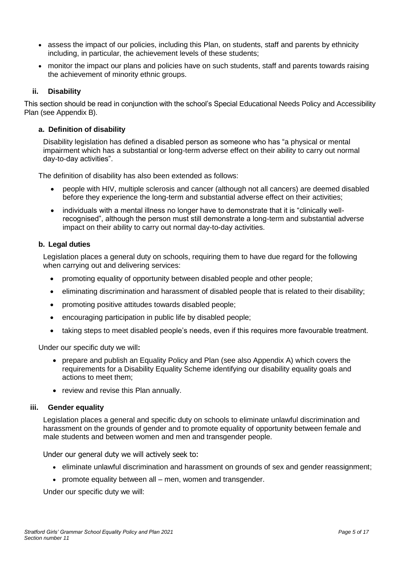- assess the impact of our policies, including this Plan, on students, staff and parents by ethnicity including, in particular, the achievement levels of these students;
- monitor the impact our plans and policies have on such students, staff and parents towards raising the achievement of minority ethnic groups.

#### **ii. Disability**

This section should be read in conjunction with the school's Special Educational Needs Policy and Accessibility Plan (see Appendix B).

#### **a. Definition of disability**

Disability legislation has defined a disabled person as someone who has "a physical or mental impairment which has a substantial or long-term adverse effect on their ability to carry out normal day-to-day activities".

The definition of disability has also been extended as follows:

- people with HIV, multiple sclerosis and cancer (although not all cancers) are deemed disabled before they experience the long-term and substantial adverse effect on their activities;
- individuals with a mental illness no longer have to demonstrate that it is "clinically wellrecognised", although the person must still demonstrate a long-term and substantial adverse impact on their ability to carry out normal day-to-day activities.

#### **b. Legal duties**

Legislation places a general duty on schools, requiring them to have due regard for the following when carrying out and delivering services:

- promoting equality of opportunity between disabled people and other people;
- eliminating discrimination and harassment of disabled people that is related to their disability;
- promoting positive attitudes towards disabled people;
- encouraging participation in public life by disabled people;
- taking steps to meet disabled people's needs, even if this requires more favourable treatment.

Under our specific duty we will**:**

- prepare and publish an Equality Policy and Plan (see also Appendix A) which covers the requirements for a Disability Equality Scheme identifying our disability equality goals and actions to meet them;
- review and revise this Plan annually.

#### **iii. Gender equality**

Legislation places a general and specific duty on schools to eliminate unlawful discrimination and harassment on the grounds of gender and to promote equality of opportunity between female and male students and between women and men and transgender people.

Under our general duty we will actively seek to:

- eliminate unlawful discrimination and harassment on grounds of sex and gender reassignment;
- promote equality between all men, women and transgender.

Under our specific duty we will: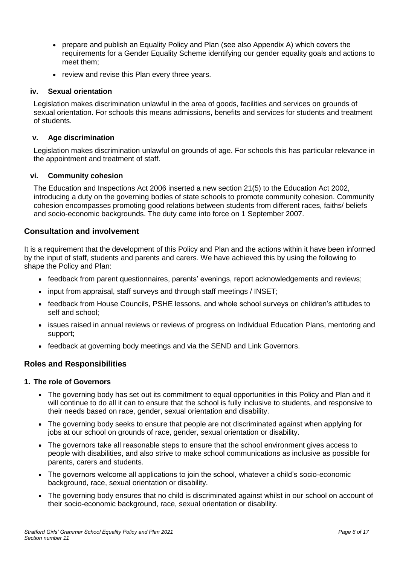- prepare and publish an Equality Policy and Plan (see also Appendix A) which covers the requirements for a Gender Equality Scheme identifying our gender equality goals and actions to meet them;
- review and revise this Plan every three years.

#### **iv. Sexual orientation**

Legislation makes discrimination unlawful in the area of goods, facilities and services on grounds of sexual orientation. For schools this means admissions, benefits and services for students and treatment of students.

#### **v. Age discrimination**

Legislation makes discrimination unlawful on grounds of age. For schools this has particular relevance in the appointment and treatment of staff.

#### **vi. Community cohesion**

The Education and Inspections Act 2006 inserted a new section 21(5) to the Education Act 2002, introducing a duty on the governing bodies of state schools to promote community cohesion. Community cohesion encompasses promoting good relations between students from different races, faiths/ beliefs and socio-economic backgrounds. The duty came into force on 1 September 2007.

#### **Consultation and involvement**

It is a requirement that the development of this Policy and Plan and the actions within it have been informed by the input of staff, students and parents and carers. We have achieved this by using the following to shape the Policy and Plan:

- feedback from parent questionnaires, parents' evenings, report acknowledgements and reviews;
- input from appraisal, staff surveys and through staff meetings / INSET;
- feedback from House Councils, PSHE lessons, and whole school surveys on children's attitudes to self and school;
- issues raised in annual reviews or reviews of progress on Individual Education Plans, mentoring and support;
- feedback at governing body meetings and via the SEND and Link Governors.

#### **Roles and Responsibilities**

#### **1. The role of Governors**

- The governing body has set out its commitment to equal opportunities in this Policy and Plan and it will continue to do all it can to ensure that the school is fully inclusive to students, and responsive to their needs based on race, gender, sexual orientation and disability.
- The governing body seeks to ensure that people are not discriminated against when applying for jobs at our school on grounds of race, gender, sexual orientation or disability.
- The governors take all reasonable steps to ensure that the school environment gives access to people with disabilities, and also strive to make school communications as inclusive as possible for parents, carers and students.
- The governors welcome all applications to join the school, whatever a child's socio-economic background, race, sexual orientation or disability.
- The governing body ensures that no child is discriminated against whilst in our school on account of their socio-economic background, race, sexual orientation or disability.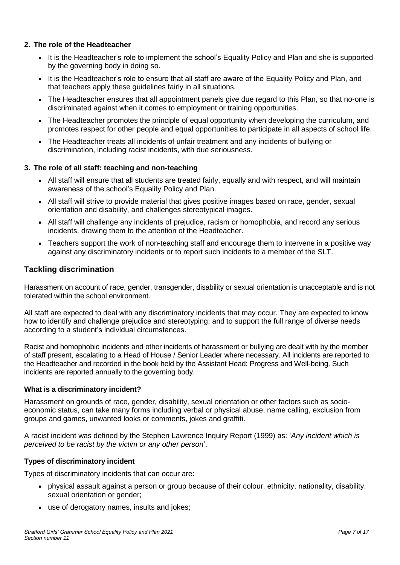#### **2. The role of the Headteacher**

- It is the Headteacher's role to implement the school's Equality Policy and Plan and she is supported by the governing body in doing so.
- It is the Headteacher's role to ensure that all staff are aware of the Equality Policy and Plan, and that teachers apply these guidelines fairly in all situations.
- The Headteacher ensures that all appointment panels give due regard to this Plan, so that no-one is discriminated against when it comes to employment or training opportunities.
- The Headteacher promotes the principle of equal opportunity when developing the curriculum, and promotes respect for other people and equal opportunities to participate in all aspects of school life.
- The Headteacher treats all incidents of unfair treatment and any incidents of bullying or discrimination, including racist incidents, with due seriousness.

#### **3. The role of all staff: teaching and non-teaching**

- All staff will ensure that all students are treated fairly, equally and with respect, and will maintain awareness of the school's Equality Policy and Plan.
- All staff will strive to provide material that gives positive images based on race, gender, sexual orientation and disability, and challenges stereotypical images.
- All staff will challenge any incidents of prejudice, racism or homophobia, and record any serious incidents, drawing them to the attention of the Headteacher.
- Teachers support the work of non-teaching staff and encourage them to intervene in a positive way against any discriminatory incidents or to report such incidents to a member of the SLT.

#### **Tackling discrimination**

Harassment on account of race, gender, transgender, disability or sexual orientation is unacceptable and is not tolerated within the school environment.

All staff are expected to deal with any discriminatory incidents that may occur. They are expected to know how to identify and challenge prejudice and stereotyping; and to support the full range of diverse needs according to a student's individual circumstances.

Racist and homophobic incidents and other incidents of harassment or bullying are dealt with by the member of staff present, escalating to a Head of House / Senior Leader where necessary. All incidents are reported to the Headteacher and recorded in the book held by the Assistant Head: Progress and Well-being. Such incidents are reported annually to the governing body.

#### **What is a discriminatory incident?**

Harassment on grounds of race, gender, disability, sexual orientation or other factors such as socioeconomic status, can take many forms including verbal or physical abuse, name calling, exclusion from groups and games, unwanted looks or comments, jokes and graffiti.

A racist incident was defined by the Stephen Lawrence Inquiry Report (1999) as: '*Any incident which is perceived to be racist by the victim or any other person*'.

#### **Types of discriminatory incident**

Types of discriminatory incidents that can occur are:

- physical assault against a person or group because of their colour, ethnicity, nationality, disability, sexual orientation or gender;
- use of derogatory names, insults and jokes;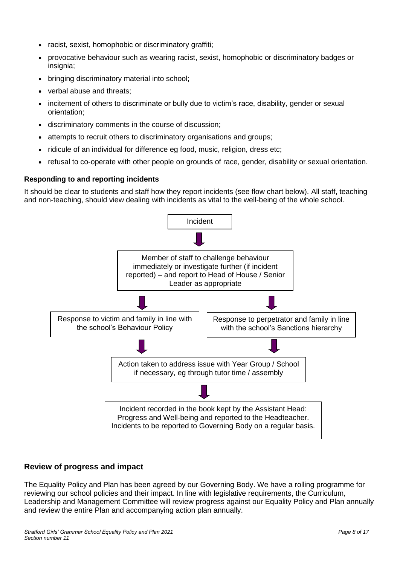- racist, sexist, homophobic or discriminatory graffiti;
- provocative behaviour such as wearing racist, sexist, homophobic or discriminatory badges or insignia;
- bringing discriminatory material into school;
- verbal abuse and threats;
- incitement of others to discriminate or bully due to victim's race, disability, gender or sexual orientation;
- discriminatory comments in the course of discussion;
- attempts to recruit others to discriminatory organisations and groups:
- ridicule of an individual for difference eg food, music, religion, dress etc;
- refusal to co-operate with other people on grounds of race, gender, disability or sexual orientation.

#### **Responding to and reporting incidents**

It should be clear to students and staff how they report incidents (see flow chart below). All staff, teaching and non-teaching, should view dealing with incidents as vital to the well-being of the whole school.



#### **Review of progress and impact**

The Equality Policy and Plan has been agreed by our Governing Body. We have a rolling programme for reviewing our school policies and their impact. In line with legislative requirements, the Curriculum, Leadership and Management Committee will review progress against our Equality Policy and Plan annually and review the entire Plan and accompanying action plan annually.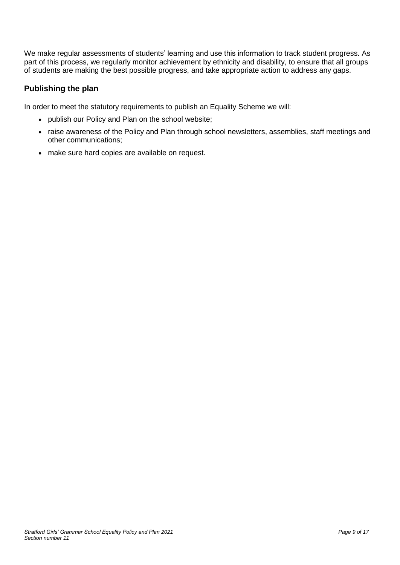We make regular assessments of students' learning and use this information to track student progress. As part of this process, we regularly monitor achievement by ethnicity and disability, to ensure that all groups of students are making the best possible progress, and take appropriate action to address any gaps.

## **Publishing the plan**

In order to meet the statutory requirements to publish an Equality Scheme we will:

- publish our Policy and Plan on the school website;
- raise awareness of the Policy and Plan through school newsletters, assemblies, staff meetings and other communications;
- make sure hard copies are available on request.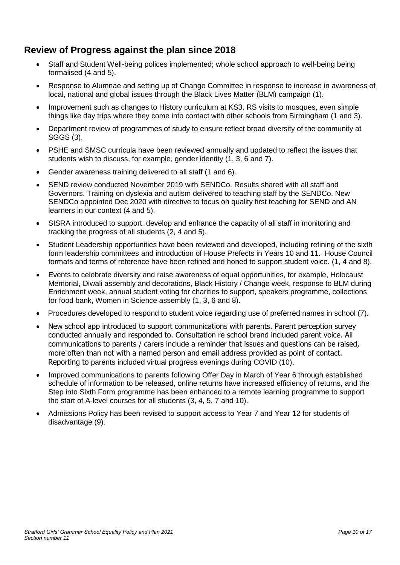# **Review of Progress against the plan since 2018**

- Staff and Student Well-being polices implemented; whole school approach to well-being being formalised (4 and 5).
- Response to Alumnae and setting up of Change Committee in response to increase in awareness of local, national and global issues through the Black Lives Matter (BLM) campaign (1).
- Improvement such as changes to History curriculum at KS3, RS visits to mosques, even simple things like day trips where they come into contact with other schools from Birmingham (1 and 3).
- Department review of programmes of study to ensure reflect broad diversity of the community at SGGS (3).
- PSHE and SMSC curricula have been reviewed annually and updated to reflect the issues that students wish to discuss, for example, gender identity (1, 3, 6 and 7).
- Gender awareness training delivered to all staff (1 and 6).
- SEND review conducted November 2019 with SENDCo. Results shared with all staff and Governors. Training on dyslexia and autism delivered to teaching staff by the SENDCo. New SENDCo appointed Dec 2020 with directive to focus on quality first teaching for SEND and AN learners in our context (4 and 5).
- SISRA introduced to support, develop and enhance the capacity of all staff in monitoring and tracking the progress of all students (2, 4 and 5).
- Student Leadership opportunities have been reviewed and developed, including refining of the sixth form leadership committees and introduction of House Prefects in Years 10 and 11. House Council formats and terms of reference have been refined and honed to support student voice. (1, 4 and 8).
- Events to celebrate diversity and raise awareness of equal opportunities, for example, Holocaust Memorial, Diwali assembly and decorations, Black History / Change week, response to BLM during Enrichment week, annual student voting for charities to support, speakers programme, collections for food bank, Women in Science assembly (1, 3, 6 and 8).
- Procedures developed to respond to student voice regarding use of preferred names in school (7).
- New school app introduced to support communications with parents. Parent perception survey conducted annually and responded to. Consultation re school brand included parent voice. All communications to parents / carers include a reminder that issues and questions can be raised, more often than not with a named person and email address provided as point of contact. Reporting to parents included virtual progress evenings during COVID (10).
- Improved communications to parents following Offer Day in March of Year 6 through established schedule of information to be released, online returns have increased efficiency of returns, and the Step into Sixth Form programme has been enhanced to a remote learning programme to support the start of A-level courses for all students (3, 4, 5, 7 and 10).
- Admissions Policy has been revised to support access to Year 7 and Year 12 for students of disadvantage (9).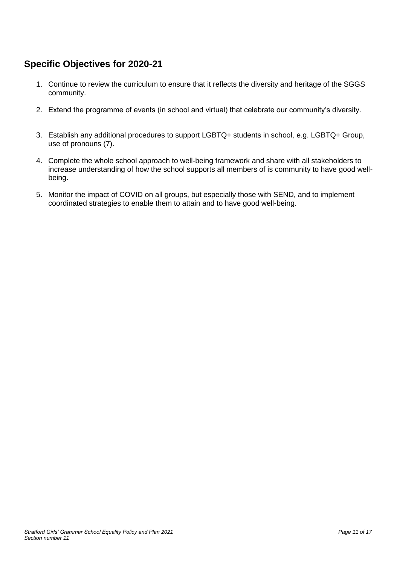# **Specific Objectives for 2020-21**

- 1. Continue to review the curriculum to ensure that it reflects the diversity and heritage of the SGGS community.
- 2. Extend the programme of events (in school and virtual) that celebrate our community's diversity.
- 3. Establish any additional procedures to support LGBTQ+ students in school, e.g. LGBTQ+ Group, use of pronouns (7).
- 4. Complete the whole school approach to well-being framework and share with all stakeholders to increase understanding of how the school supports all members of is community to have good wellbeing.
- 5. Monitor the impact of COVID on all groups, but especially those with SEND, and to implement coordinated strategies to enable them to attain and to have good well-being.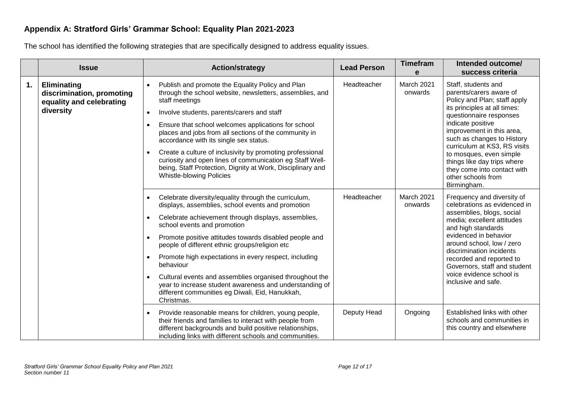## **Appendix A: Stratford Girls' Grammar School: Equality Plan 2021-2023**

The school has identified the following strategies that are specifically designed to address equality issues.

|    | <b>Issue</b>                                                                      | <b>Action/strategy</b>                                                                                                                                                                                                                                                                                                                                                                                                                                                                                                                                                                                                                    | <b>Lead Person</b> | <b>Timefram</b><br>e  | Intended outcome/<br>success criteria                                                                                                                                                                                                                                                                                                                                                   |
|----|-----------------------------------------------------------------------------------|-------------------------------------------------------------------------------------------------------------------------------------------------------------------------------------------------------------------------------------------------------------------------------------------------------------------------------------------------------------------------------------------------------------------------------------------------------------------------------------------------------------------------------------------------------------------------------------------------------------------------------------------|--------------------|-----------------------|-----------------------------------------------------------------------------------------------------------------------------------------------------------------------------------------------------------------------------------------------------------------------------------------------------------------------------------------------------------------------------------------|
| 1. | Eliminating<br>discrimination, promoting<br>equality and celebrating<br>diversity | Publish and promote the Equality Policy and Plan<br>$\bullet$<br>through the school website, newsletters, assemblies, and<br>staff meetings<br>Involve students, parents/carers and staff<br>$\bullet$<br>Ensure that school welcomes applications for school<br>$\bullet$<br>places and jobs from all sections of the community in<br>accordance with its single sex status.<br>Create a culture of inclusivity by promoting professional<br>$\bullet$<br>curiosity and open lines of communication eg Staff Well-<br>being, Staff Protection, Dignity at Work, Disciplinary and<br><b>Whistle-blowing Policies</b>                      | Headteacher        | March 2021<br>onwards | Staff, students and<br>parents/carers aware of<br>Policy and Plan; staff apply<br>its principles at all times:<br>questionnaire responses<br>indicate positive<br>improvement in this area,<br>such as changes to History<br>curriculum at KS3, RS visits<br>to mosques, even simple<br>things like day trips where<br>they come into contact with<br>other schools from<br>Birmingham. |
|    |                                                                                   | Celebrate diversity/equality through the curriculum,<br>$\bullet$<br>displays, assemblies, school events and promotion<br>Celebrate achievement through displays, assemblies,<br>$\bullet$<br>school events and promotion<br>Promote positive attitudes towards disabled people and<br>$\bullet$<br>people of different ethnic groups/religion etc<br>Promote high expectations in every respect, including<br>$\bullet$<br>behaviour<br>Cultural events and assemblies organised throughout the<br>$\bullet$<br>year to increase student awareness and understanding of<br>different communities eg Diwali, Eid, Hanukkah,<br>Christmas. | Headteacher        | March 2021<br>onwards | Frequency and diversity of<br>celebrations as evidenced in<br>assemblies, blogs, social<br>media; excellent attitudes<br>and high standards<br>evidenced in behavior<br>around school, low / zero<br>discrimination incidents<br>recorded and reported to<br>Governors, staff and student<br>voice evidence school is<br>inclusive and safe.                                            |
|    |                                                                                   | Provide reasonable means for children, young people,<br>$\bullet$<br>their friends and families to interact with people from<br>different backgrounds and build positive relationships,<br>including links with different schools and communities.                                                                                                                                                                                                                                                                                                                                                                                        | Deputy Head        | Ongoing               | Established links with other<br>schools and communities in<br>this country and elsewhere                                                                                                                                                                                                                                                                                                |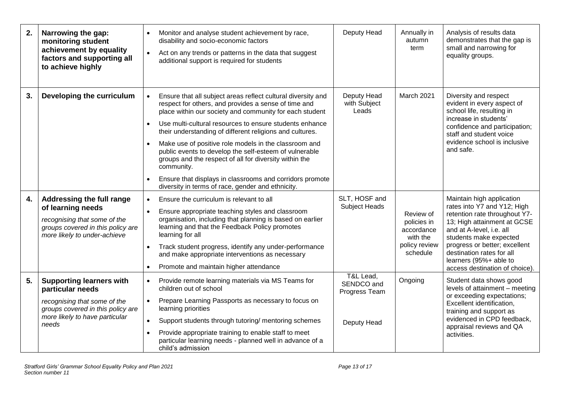| 2. | Narrowing the gap:<br>monitoring student<br>achievement by equality<br>factors and supporting all<br>to achieve highly                                              | Monitor and analyse student achievement by race,<br>disability and socio-economic factors<br>Act on any trends or patterns in the data that suggest<br>$\bullet$<br>additional support is required for students                                                                                                                                                                                                                                                                                                                                                                                                                              | Deputy Head                                             | Annually in<br>autumn<br>term                                                   | Analysis of results data<br>demonstrates that the gap is<br>small and narrowing for<br>equality groups.                                                                                                                                                                                                  |
|----|---------------------------------------------------------------------------------------------------------------------------------------------------------------------|----------------------------------------------------------------------------------------------------------------------------------------------------------------------------------------------------------------------------------------------------------------------------------------------------------------------------------------------------------------------------------------------------------------------------------------------------------------------------------------------------------------------------------------------------------------------------------------------------------------------------------------------|---------------------------------------------------------|---------------------------------------------------------------------------------|----------------------------------------------------------------------------------------------------------------------------------------------------------------------------------------------------------------------------------------------------------------------------------------------------------|
| 3. | Developing the curriculum                                                                                                                                           | Ensure that all subject areas reflect cultural diversity and<br>respect for others, and provides a sense of time and<br>place within our society and community for each student<br>Use multi-cultural resources to ensure students enhance<br>$\bullet$<br>their understanding of different religions and cultures.<br>Make use of positive role models in the classroom and<br>$\bullet$<br>public events to develop the self-esteem of vulnerable<br>groups and the respect of all for diversity within the<br>community.<br>Ensure that displays in classrooms and corridors promote<br>diversity in terms of race, gender and ethnicity. | Deputy Head<br>with Subject<br>Leads                    | March 2021                                                                      | Diversity and respect<br>evident in every aspect of<br>school life, resulting in<br>increase in students'<br>confidence and participation;<br>staff and student voice<br>evidence school is inclusive<br>and safe.                                                                                       |
| 4. | Addressing the full range<br>of learning needs<br>recognising that some of the<br>groups covered in this policy are<br>more likely to under-achieve                 | Ensure the curriculum is relevant to all<br>$\bullet$<br>Ensure appropriate teaching styles and classroom<br>$\bullet$<br>organisation, including that planning is based on earlier<br>learning and that the Feedback Policy promotes<br>learning for all<br>Track student progress, identify any under-performance<br>$\bullet$<br>and make appropriate interventions as necessary<br>Promote and maintain higher attendance<br>$\bullet$                                                                                                                                                                                                   | SLT, HOSF and<br>Subject Heads                          | Review of<br>policies in<br>accordance<br>with the<br>policy review<br>schedule | Maintain high application<br>rates into Y7 and Y12; High<br>retention rate throughout Y7-<br>13; High attainment at GCSE<br>and at A-level, i.e. all<br>students make expected<br>progress or better; excellent<br>destination rates for all<br>learners (95%+ able to<br>access destination of choice). |
| 5. | <b>Supporting learners with</b><br>particular needs<br>recognising that some of the<br>groups covered in this policy are<br>more likely to have particular<br>needs | Provide remote learning materials via MS Teams for<br>$\bullet$<br>children out of school<br>Prepare Learning Passports as necessary to focus on<br>$\bullet$<br>learning priorities<br>Support students through tutoring/ mentoring schemes<br>$\bullet$<br>Provide appropriate training to enable staff to meet<br>$\bullet$<br>particular learning needs - planned well in advance of a<br>child's admission                                                                                                                                                                                                                              | T&L Lead,<br>SENDCO and<br>Progress Team<br>Deputy Head | Ongoing                                                                         | Student data shows good<br>levels of attainment - meeting<br>or exceeding expectations;<br>Excellent identification,<br>training and support as<br>evidenced in CPD feedback,<br>appraisal reviews and QA<br>activities.                                                                                 |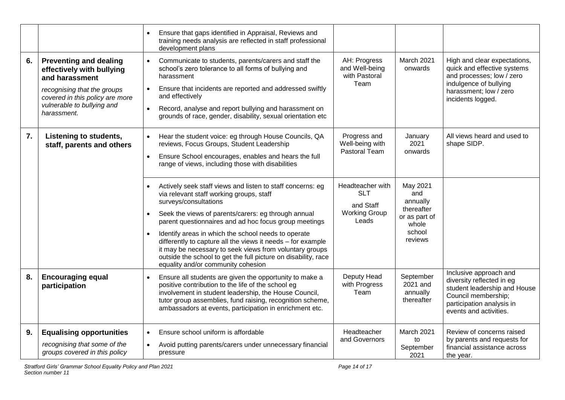|    |                                                                                                  | Ensure that gaps identified in Appraisal, Reviews and<br>training needs analysis are reflected in staff professional<br>development plans                                                                                                                                                                   |                                                 |                                                 |                                                                                                                                                                   |  |
|----|--------------------------------------------------------------------------------------------------|-------------------------------------------------------------------------------------------------------------------------------------------------------------------------------------------------------------------------------------------------------------------------------------------------------------|-------------------------------------------------|-------------------------------------------------|-------------------------------------------------------------------------------------------------------------------------------------------------------------------|--|
| 6. | <b>Preventing and dealing</b><br>effectively with bullying<br>and harassment                     | Communicate to students, parents/carers and staff the<br>$\bullet$<br>school's zero tolerance to all forms of bullying and<br>harassment                                                                                                                                                                    | AH: Progress<br>and Well-being<br>with Pastoral | March 2021<br>onwards                           | High and clear expectations,<br>quick and effective systems<br>and processes; low / zero<br>indulgence of bullying                                                |  |
|    | recognising that the groups<br>covered in this policy are more                                   | Ensure that incidents are reported and addressed swiftly<br>$\bullet$<br>and effectively                                                                                                                                                                                                                    | Team                                            |                                                 | harassment; low / zero<br>incidents logged.                                                                                                                       |  |
|    | vulnerable to bullying and<br>harassment.                                                        | Record, analyse and report bullying and harassment on<br>$\bullet$<br>grounds of race, gender, disability, sexual orientation etc                                                                                                                                                                           |                                                 |                                                 |                                                                                                                                                                   |  |
| 7. | Listening to students,<br>staff, parents and others                                              | Hear the student voice: eg through House Councils, QA<br>$\bullet$<br>reviews, Focus Groups, Student Leadership                                                                                                                                                                                             | Progress and<br>Well-being with                 | January<br>2021                                 | All views heard and used to<br>shape SIDP.                                                                                                                        |  |
|    |                                                                                                  | Ensure School encourages, enables and hears the full<br>$\bullet$<br>range of views, including those with disabilities                                                                                                                                                                                      | Pastoral Team                                   |                                                 | onwards                                                                                                                                                           |  |
|    |                                                                                                  | Actively seek staff views and listen to staff concerns: eg<br>$\bullet$<br>via relevant staff working groups, staff<br>surveys/consultations                                                                                                                                                                | Headteacher with<br><b>SLT</b><br>and Staff     | May 2021<br>and<br>annually                     |                                                                                                                                                                   |  |
|    |                                                                                                  | Seek the views of parents/carers: eg through annual<br>parent questionnaires and ad hoc focus group meetings                                                                                                                                                                                                | <b>Working Group</b><br>Leads                   | thereafter<br>or as part of<br>whole            |                                                                                                                                                                   |  |
|    |                                                                                                  | Identify areas in which the school needs to operate<br>$\bullet$<br>differently to capture all the views it needs - for example<br>it may be necessary to seek views from voluntary groups<br>outside the school to get the full picture on disability, race<br>equality and/or community cohesion          |                                                 | school<br>reviews                               |                                                                                                                                                                   |  |
| 8. | <b>Encouraging equal</b><br>participation                                                        | Ensure all students are given the opportunity to make a<br>$\bullet$<br>positive contribution to the life of the school eg<br>involvement in student leadership, the House Council,<br>tutor group assemblies, fund raising, recognition scheme,<br>ambassadors at events, participation in enrichment etc. | Deputy Head<br>with Progress<br>Team            | September<br>2021 and<br>annually<br>thereafter | Inclusive approach and<br>diversity reflected in eg<br>student leadership and House<br>Council membership;<br>participation analysis in<br>events and activities. |  |
| 9. | <b>Equalising opportunities</b><br>recognising that some of the<br>groups covered in this policy | Ensure school uniform is affordable<br>$\bullet$<br>Avoid putting parents/carers under unnecessary financial<br>pressure                                                                                                                                                                                    | Headteacher<br>and Governors                    | March 2021<br>to<br>September<br>2021           | Review of concerns raised<br>by parents and requests for<br>financial assistance across<br>the year.                                                              |  |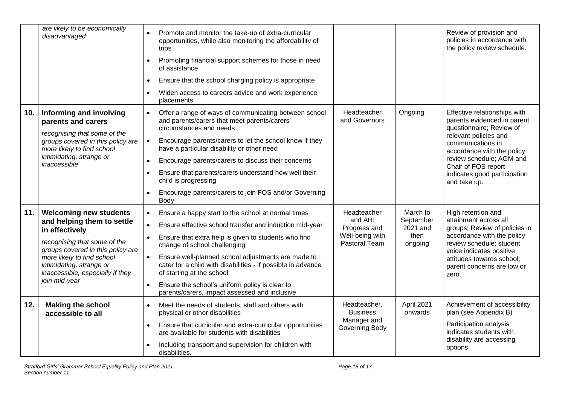|     | are likely to be economically<br>disadvantaged                                                                                                                                                                                                                    | Promote and monitor the take-up of extra-curricular<br>opportunities, while also monitoring the affordability of<br>trips<br>Promoting financial support schemes for those in need<br>of assistance<br>Ensure that the school charging policy is appropriate<br>$\bullet$<br>Widen access to careers advice and work experience<br>placements                                                                                                                                                                                |                                                                            |                                                      | Review of provision and<br>policies in accordance with<br>the policy review schedule.                                                                                                                                                                                  |
|-----|-------------------------------------------------------------------------------------------------------------------------------------------------------------------------------------------------------------------------------------------------------------------|------------------------------------------------------------------------------------------------------------------------------------------------------------------------------------------------------------------------------------------------------------------------------------------------------------------------------------------------------------------------------------------------------------------------------------------------------------------------------------------------------------------------------|----------------------------------------------------------------------------|------------------------------------------------------|------------------------------------------------------------------------------------------------------------------------------------------------------------------------------------------------------------------------------------------------------------------------|
| 10. | Informing and involving<br>parents and carers<br>recognising that some of the<br>groups covered in this policy are<br>more likely to find school<br>intimidating, strange or<br>inaccessible                                                                      | Offer a range of ways of communicating between school<br>and parents/carers that meet parents/carers'<br>circumstances and needs<br>Encourage parents/carers to let the school know if they<br>$\bullet$<br>have a particular disability or other need<br>Encourage parents/carers to discuss their concerns<br>$\bullet$<br>Ensure that parents/carers understand how well their<br>child is progressing<br>Encourage parents/carers to join FOS and/or Governing<br>Body                                                   | Headteacher<br>and Governors                                               | Ongoing                                              | Effective relationships with<br>parents evidenced in parent<br>questionnaire; Review of<br>relevant policies and<br>communications in<br>accordance with the policy<br>review schedule; AGM and<br>Chair of FOS report<br>indicates good participation<br>and take up. |
| 11. | <b>Welcoming new students</b><br>and helping them to settle<br>in effectively<br>recognising that some of the<br>groups covered in this policy are<br>more likely to find school<br>intimidating, strange or<br>inaccessible, especially if they<br>join mid-year | Ensure a happy start to the school at normal times<br>$\bullet$<br>Ensure effective school transfer and induction mid-year<br>$\bullet$<br>Ensure that extra help is given to students who find<br>$\bullet$<br>change of school challenging<br>Ensure well-planned school adjustments are made to<br>$\bullet$<br>cater for a child with disabilities - if possible in advance<br>of starting at the school<br>Ensure the school's uniform policy is clear to<br>$\bullet$<br>parents/carers, impact assessed and inclusive | Headteacher<br>and AH:<br>Progress and<br>Well-being with<br>Pastoral Team | March to<br>September<br>2021 and<br>then<br>ongoing | High retention and<br>attainment across all<br>groups; Review of policies in<br>accordance with the policy<br>review schedule; student<br>voice indicates positive<br>attitudes towards school;<br>parent concerns are low or<br>zero.                                 |
| 12. | <b>Making the school</b><br>accessible to all                                                                                                                                                                                                                     | Meet the needs of students, staff and others with<br>$\bullet$<br>physical or other disabilities<br>Ensure that curricular and extra-curricular opportunities<br>$\bullet$<br>are available for students with disabilities<br>Including transport and supervision for children with<br>disabilities.                                                                                                                                                                                                                         | Headteacher,<br><b>Business</b><br>Manager and<br>Governing Body           | April 2021<br>onwards                                | Achievement of accessibility<br>plan (see Appendix B)<br>Participation analysis<br>indicates students with<br>disability are accessing<br>options.                                                                                                                     |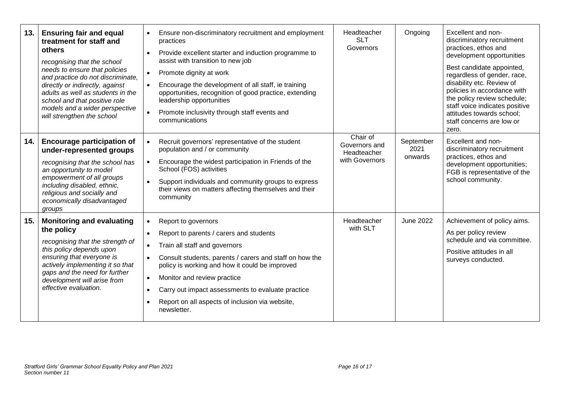| 13. | <b>Ensuring fair and equal</b><br>treatment for staff and<br>others<br>recognising that the school<br>needs to ensure that policies<br>and practice do not discriminate,<br>directly or indirectly, against<br>adults as well as students in the<br>school and that positive role<br>models and a wider perspective<br>will strengthen the school | $\bullet$<br>$\bullet$<br>$\bullet$<br>$\bullet$                           | Ensure non-discriminatory recruitment and employment<br>practices<br>Provide excellent starter and induction programme to<br>assist with transition to new job<br>Promote dignity at work<br>Encourage the development of all staff, ie training<br>opportunities, recognition of good practice, extending<br>leadership opportunities<br>Promote inclusivity through staff events and<br>communications | Headteacher<br><b>SLT</b><br>Governors                     | Ongoing                      | Excellent and non-<br>discriminatory recruitment<br>practices, ethos and<br>development opportunities<br>Best candidate appointed,<br>regardless of gender, race,<br>disability etc. Review of<br>policies in accordance with<br>the policy review schedule;<br>staff voice indicates positive<br>attitudes towards school;<br>staff concerns are low or<br>zero. |
|-----|---------------------------------------------------------------------------------------------------------------------------------------------------------------------------------------------------------------------------------------------------------------------------------------------------------------------------------------------------|----------------------------------------------------------------------------|----------------------------------------------------------------------------------------------------------------------------------------------------------------------------------------------------------------------------------------------------------------------------------------------------------------------------------------------------------------------------------------------------------|------------------------------------------------------------|------------------------------|-------------------------------------------------------------------------------------------------------------------------------------------------------------------------------------------------------------------------------------------------------------------------------------------------------------------------------------------------------------------|
| 14. | <b>Encourage participation of</b><br>under-represented groups<br>recognising that the school has<br>an opportunity to model<br>empowerment of all groups<br>including disabled, ethnic,<br>religious and socially and<br>economically disadvantaged<br>groups                                                                                     | $\bullet$<br>$\bullet$<br>$\bullet$                                        | Recruit governors' representative of the student<br>population and / or community<br>Encourage the widest participation in Friends of the<br>School (FOS) activities<br>Support individuals and community groups to express<br>their views on matters affecting themselves and their<br>community                                                                                                        | Chair of<br>Governors and<br>Headteacher<br>with Governors | September<br>2021<br>onwards | Excellent and non-<br>discriminatory recruitment<br>practices, ethos and<br>development opportunities;<br>FGB is representative of the<br>school community.                                                                                                                                                                                                       |
| 15. | <b>Monitoring and evaluating</b><br>the policy<br>recognising that the strength of<br>this policy depends upon<br>ensuring that everyone is<br>actively implementing it so that<br>gaps and the need for further<br>development will arise from<br>effective evaluation.                                                                          | $\bullet$<br>$\bullet$<br>$\bullet$<br>$\bullet$<br>$\bullet$<br>$\bullet$ | Report to governors<br>Report to parents / carers and students<br>Train all staff and governors<br>Consult students, parents / carers and staff on how the<br>policy is working and how it could be improved<br>Monitor and review practice<br>Carry out impact assessments to evaluate practice<br>Report on all aspects of inclusion via website,<br>newsletter.                                       | Headteacher<br>with SLT                                    | <b>June 2022</b>             | Achievement of policy aims.<br>As per policy review<br>schedule and via committee.<br>Positive attitudes in all<br>surveys conducted.                                                                                                                                                                                                                             |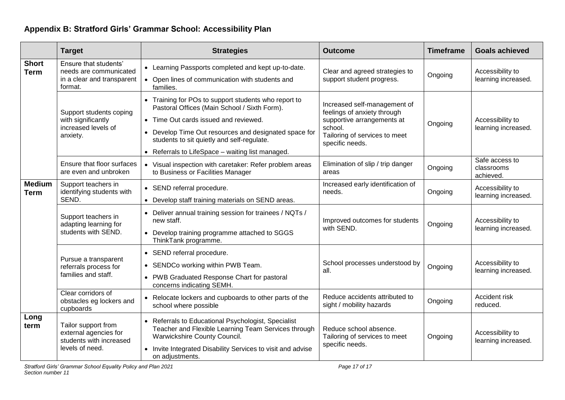# **Appendix B: Stratford Girls' Grammar School: Accessibility Plan**

|                              | <b>Target</b>                                                                              | <b>Strategies</b>                                                                                                                                                                                                                                                                                        | <b>Outcome</b>                                                                                                                                           | <b>Timeframe</b> | <b>Goals achieved</b>                     |
|------------------------------|--------------------------------------------------------------------------------------------|----------------------------------------------------------------------------------------------------------------------------------------------------------------------------------------------------------------------------------------------------------------------------------------------------------|----------------------------------------------------------------------------------------------------------------------------------------------------------|------------------|-------------------------------------------|
| <b>Short</b><br><b>Term</b>  | Ensure that students'<br>needs are communicated<br>in a clear and transparent<br>format.   | • Learning Passports completed and kept up-to-date.<br>• Open lines of communication with students and<br>families.                                                                                                                                                                                      | Clear and agreed strategies to<br>support student progress.                                                                                              | Ongoing          | Accessibility to<br>learning increased.   |
|                              | Support students coping<br>with significantly<br>increased levels of<br>anxiety.           | • Training for POs to support students who report to<br>Pastoral Offices (Main School / Sixth Form).<br>• Time Out cards issued and reviewed.<br>• Develop Time Out resources and designated space for<br>students to sit quietly and self-regulate.<br>• Referrals to LifeSpace - waiting list managed. | Increased self-management of<br>feelings of anxiety through<br>supportive arrangements at<br>school.<br>Tailoring of services to meet<br>specific needs. | Ongoing          | Accessibility to<br>learning increased.   |
|                              | Ensure that floor surfaces<br>are even and unbroken                                        | • Visual inspection with caretaker: Refer problem areas<br>to Business or Facilities Manager                                                                                                                                                                                                             | Elimination of slip / trip danger<br>areas                                                                                                               | Ongoing          | Safe access to<br>classrooms<br>achieved. |
| <b>Medium</b><br><b>Term</b> | Support teachers in<br>identifying students with<br>SEND.                                  | • SEND referral procedure.<br>• Develop staff training materials on SEND areas.                                                                                                                                                                                                                          | Increased early identification of<br>needs.                                                                                                              | Ongoing          | Accessibility to<br>learning increased.   |
|                              | Support teachers in<br>adapting learning for<br>students with SEND.                        | • Deliver annual training session for trainees / NQTs /<br>new staff.<br>• Develop training programme attached to SGGS<br>ThinkTank programme.                                                                                                                                                           | Improved outcomes for students<br>with SEND.                                                                                                             | Ongoing          | Accessibility to<br>learning increased.   |
|                              | Pursue a transparent<br>referrals process for<br>families and staff.                       | • SEND referral procedure.<br>• SENDCo working within PWB Team.<br>• PWB Graduated Response Chart for pastoral<br>concerns indicating SEMH.                                                                                                                                                              | School processes understood by<br>all.                                                                                                                   | Ongoing          | Accessibility to<br>learning increased.   |
|                              | Clear corridors of<br>obstacles eg lockers and<br>cupboards                                | • Relocate lockers and cupboards to other parts of the<br>school where possible                                                                                                                                                                                                                          | Reduce accidents attributed to<br>sight / mobility hazards                                                                                               | Ongoing          | Accident risk<br>reduced.                 |
| Long<br>term                 | Tailor support from<br>external agencies for<br>students with increased<br>levels of need. | • Referrals to Educational Psychologist, Specialist<br>Teacher and Flexible Learning Team Services through<br>Warwickshire County Council.<br>• Invite Integrated Disability Services to visit and advise<br>on adjustments.                                                                             | Reduce school absence.<br>Tailoring of services to meet<br>specific needs.                                                                               | Ongoing          | Accessibility to<br>learning increased.   |